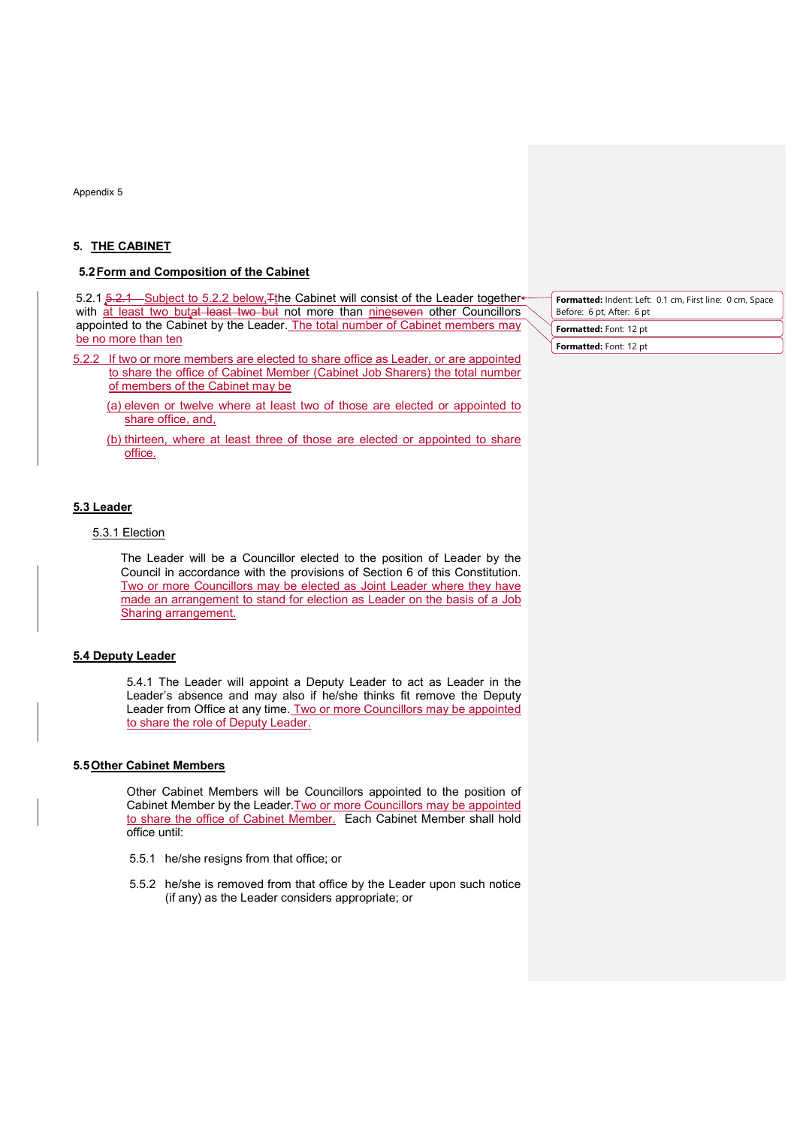Appendix 5

## 5. THE CABINET

## 5.2 Form and Composition of the Cabinet

5.2.1 5.2.1 Subject to 5.2.2 below, The Cabinet will consist of the Leader together with at least two butat least two but not more than nineseven other Councillors appointed to the Cabinet by the Leader. The total number of Cabinet members may be no more than ten

- 5.2.2 If two or more members are elected to share office as Leader, or are appointed to share the office of Cabinet Member (Cabinet Job Sharers) the total number of members of the Cabinet may be
	- (a) eleven or twelve where at least two of those are elected or appointed to share office, and,
	- (b) thirteen, where at least three of those are elected or appointed to share office.

#### 5.3 Leader

# 5.3.1 Election

The Leader will be a Councillor elected to the position of Leader by the Council in accordance with the provisions of Section 6 of this Constitution. Two or more Councillors may be elected as Joint Leader where they have made an arrangement to stand for election as Leader on the basis of a Job Sharing arrangement.

# 5.4 Deputy Leader

5.4.1 The Leader will appoint a Deputy Leader to act as Leader in the Leader's absence and may also if he/she thinks fit remove the Deputy Leader from Office at any time. Two or more Councillors may be appointed to share the role of Deputy Leader.

#### 5.5 Other Cabinet Members

Other Cabinet Members will be Councillors appointed to the position of Cabinet Member by the Leader. Two or more Councillors may be appointed to share the office of Cabinet Member. Each Cabinet Member shall hold office until:

- 5.5.1 he/she resigns from that office; or
- 5.5.2 he/she is removed from that office by the Leader upon such notice (if any) as the Leader considers appropriate; or

Formatted: Indent: Left: 0.1 cm, First line: 0 cm, Space Before: 6 pt, After: 6 pt Formatted: Font: 12 pt

Formatted: Font: 12 pt